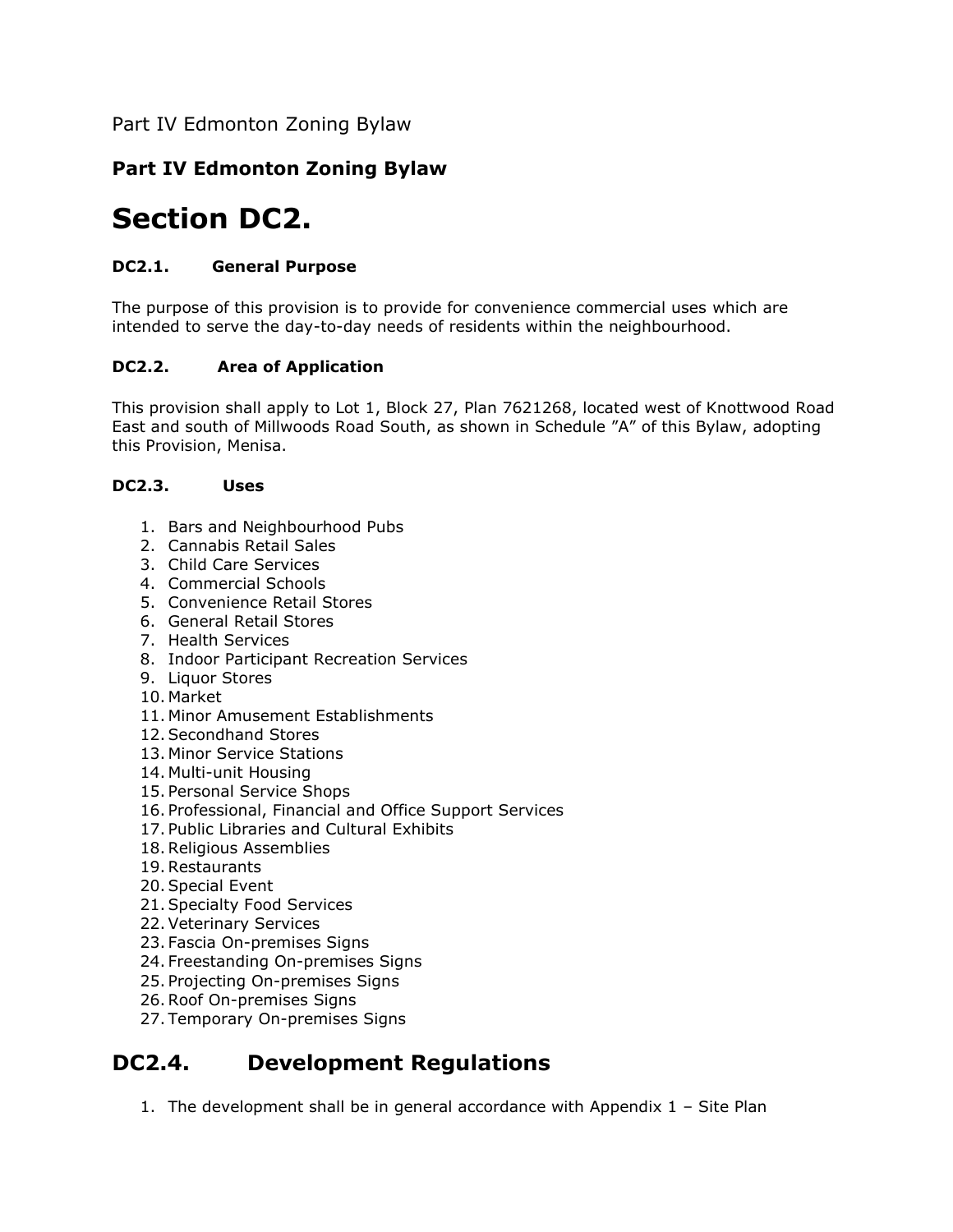Part IV Edmonton Zoning Bylaw

#### **Part IV Edmonton Zoning Bylaw**

### **Section DC2.**

#### **DC2.1. General Purpose**

The purpose of this provision is to provide for convenience commercial uses which are intended to serve the day-to-day needs of residents within the neighbourhood.

#### **DC2.2. Area of Application**

This provision shall apply to Lot 1, Block 27, Plan 7621268, located west of Knottwood Road East and south of Millwoods Road South, as shown in Schedule "A" of this Bylaw, adopting this Provision, Menisa.

#### **DC2.3. Uses**

- 1. Bars and Neighbourhood Pubs
- 2. Cannabis Retail Sales
- 3. Child Care Services
- 4. Commercial Schools
- 5. Convenience Retail Stores
- 6. General Retail Stores
- 7. Health Services
- 8. Indoor Participant Recreation Services
- 9. Liquor Stores
- 10. Market
- 11. Minor Amusement Establishments
- 12.Secondhand Stores
- 13. Minor Service Stations
- 14. Multi-unit Housing
- 15. Personal Service Shops
- 16. Professional, Financial and Office Support Services
- 17. Public Libraries and Cultural Exhibits
- 18.Religious Assemblies
- 19.Restaurants
- 20.Special Event
- 21.Specialty Food Services
- 22.Veterinary Services
- 23. Fascia On-premises Signs
- 24. Freestanding On-premises Signs
- 25. Projecting On-premises Signs
- 26.Roof On-premises Signs
- 27. Temporary On-premises Signs

### **DC2.4. Development Regulations**

1. The development shall be in general accordance with Appendix 1 – Site Plan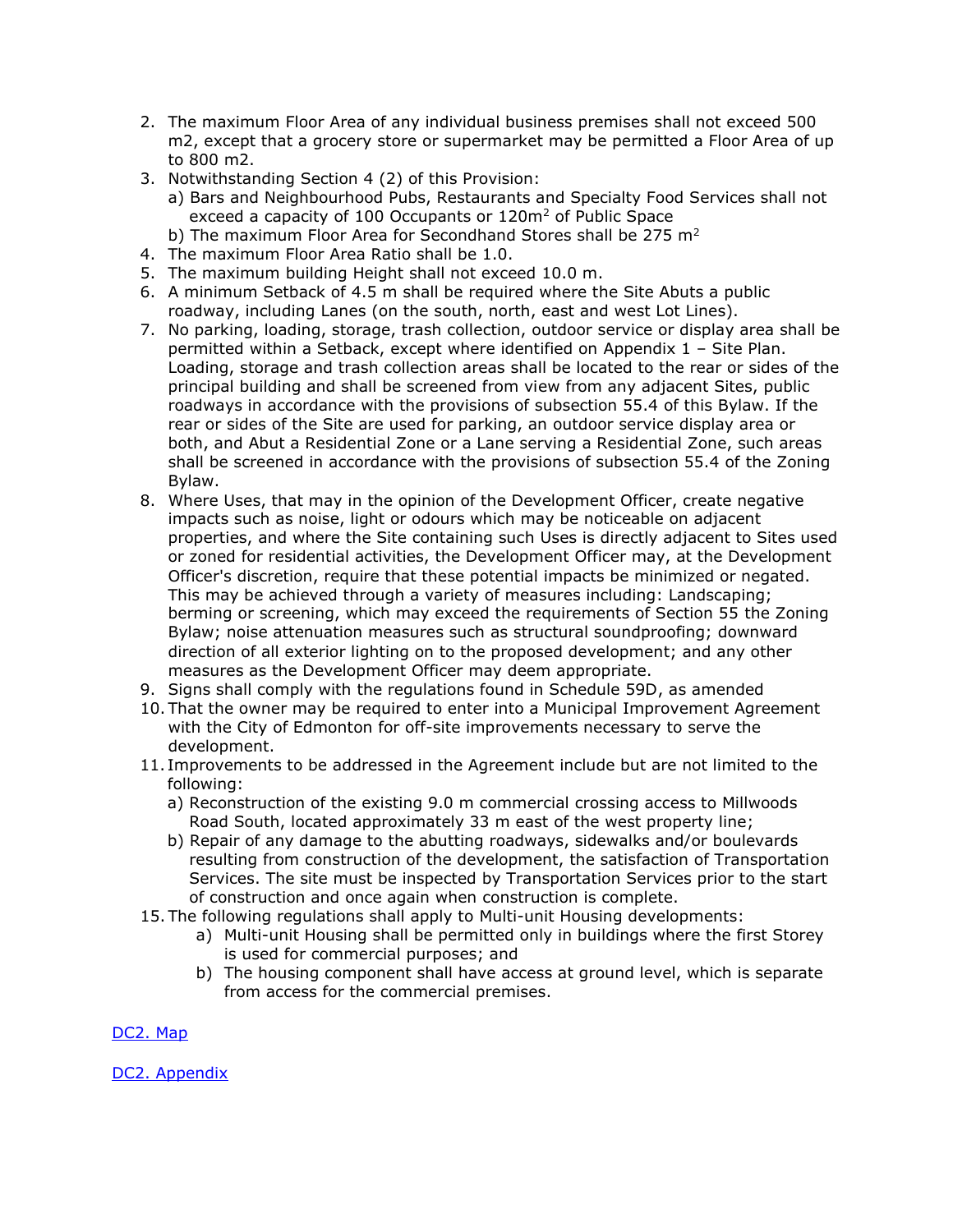- 2. The maximum Floor Area of any individual business premises shall not exceed 500 m2, except that a grocery store or supermarket may be permitted a Floor Area of up to 800 m2.
- 3. Notwithstanding Section 4 (2) of this Provision:
	- a) Bars and Neighbourhood Pubs, Restaurants and Specialty Food Services shall not exceed a capacity of 100 Occupants or 120m<sup>2</sup> of Public Space
	- b) The maximum Floor Area for Secondhand Stores shall be 275  $m<sup>2</sup>$
- 4. The maximum Floor Area Ratio shall be 1.0.
- 5. The maximum building Height shall not exceed 10.0 m.
- 6. A minimum Setback of 4.5 m shall be required where the Site Abuts a public roadway, including Lanes (on the south, north, east and west Lot Lines).
- 7. No parking, loading, storage, trash collection, outdoor service or display area shall be permitted within a Setback, except where identified on Appendix 1 – Site Plan. Loading, storage and trash collection areas shall be located to the rear or sides of the principal building and shall be screened from view from any adjacent Sites, public roadways in accordance with the provisions of subsection 55.4 of this Bylaw. If the rear or sides of the Site are used for parking, an outdoor service display area or both, and Abut a Residential Zone or a Lane serving a Residential Zone, such areas shall be screened in accordance with the provisions of subsection 55.4 of the Zoning Bylaw.
- 8. Where Uses, that may in the opinion of the Development Officer, create negative impacts such as noise, light or odours which may be noticeable on adjacent properties, and where the Site containing such Uses is directly adjacent to Sites used or zoned for residential activities, the Development Officer may, at the Development Officer's discretion, require that these potential impacts be minimized or negated. This may be achieved through a variety of measures including: Landscaping; berming or screening, which may exceed the requirements of Section 55 the Zoning Bylaw; noise attenuation measures such as structural soundproofing; downward direction of all exterior lighting on to the proposed development; and any other measures as the Development Officer may deem appropriate.
- 9. Signs shall comply with the regulations found in Schedule 59D, as amended
- 10. That the owner may be required to enter into a Municipal Improvement Agreement with the City of Edmonton for off-site improvements necessary to serve the development.
- 11. Improvements to be addressed in the Agreement include but are not limited to the following:
	- a) Reconstruction of the existing 9.0 m commercial crossing access to Millwoods Road South, located approximately 33 m east of the west property line;
	- b) Repair of any damage to the abutting roadways, sidewalks and/or boulevards resulting from construction of the development, the satisfaction of Transportation Services. The site must be inspected by Transportation Services prior to the start of construction and once again when construction is complete.
- 15. The following regulations shall apply to Multi-unit Housing developments:
	- a) Multi-unit Housing shall be permitted only in buildings where the first Storey is used for commercial purposes; and
	- b) The housing component shall have access at ground level, which is separate from access for the commercial premises.

[DC2.](https://webdocs.edmonton.ca/ZoningBylaw/DC2/DC2_803.pdf) Map

DC2. [Appendix](https://webdocs.edmonton.ca/ZoningBylaw/DC2/DC2_803_Appendix.pdf)